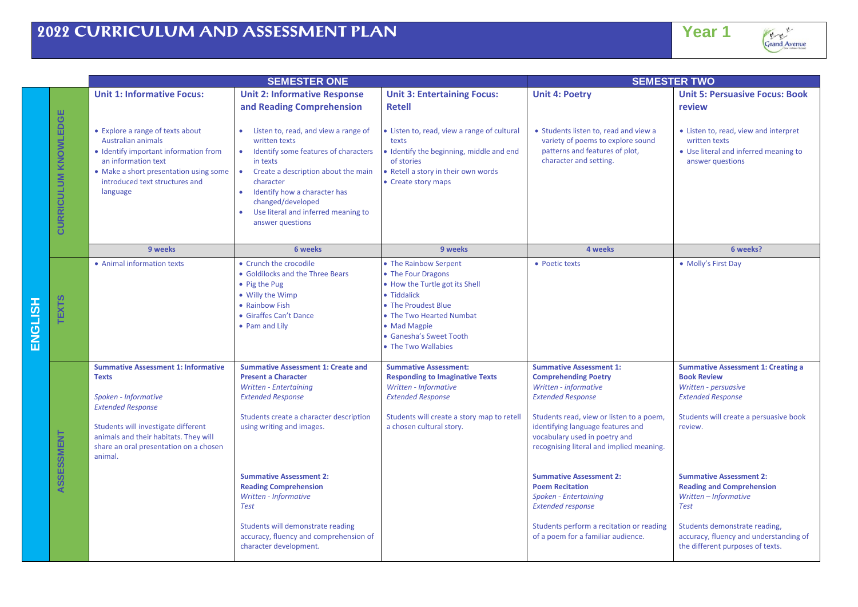|                |                             | <b>SEMESTER ONE</b>                                                                                                                                                                                                                                 |                                                                                                                                                                                                                                                                               |                                                                                                                                                                                                                   | <b>SEMESTER TWO</b>                                                                                                                                                                                                                                                                                                                          |                                                                                                                                                                                                                                                |  |
|----------------|-----------------------------|-----------------------------------------------------------------------------------------------------------------------------------------------------------------------------------------------------------------------------------------------------|-------------------------------------------------------------------------------------------------------------------------------------------------------------------------------------------------------------------------------------------------------------------------------|-------------------------------------------------------------------------------------------------------------------------------------------------------------------------------------------------------------------|----------------------------------------------------------------------------------------------------------------------------------------------------------------------------------------------------------------------------------------------------------------------------------------------------------------------------------------------|------------------------------------------------------------------------------------------------------------------------------------------------------------------------------------------------------------------------------------------------|--|
|                |                             | <b>Unit 1: Informative Focus:</b>                                                                                                                                                                                                                   | <b>Unit 2: Informative Response</b><br>and Reading Comprehension                                                                                                                                                                                                              | <b>Unit 3: Entertaining Focus:</b><br><b>Retell</b>                                                                                                                                                               | <b>Unit 4: Poetry</b>                                                                                                                                                                                                                                                                                                                        | <b>Unit 5: Persuasive Focus: Book</b><br>review                                                                                                                                                                                                |  |
|                | <b>CURRICULUM KNOWLEDGE</b> | • Explore a range of texts about<br><b>Australian animals</b><br>• Identify important information from<br>an information text<br>• Make a short presentation using some<br>introduced text structures and<br>language                               | Listen to, read, and view a range of<br>written texts<br>Identify some features of characters<br>in texts<br>Create a description about the main<br>character<br>Identify how a character has<br>changed/developed<br>Use literal and inferred meaning to<br>answer questions | Listen to, read, view a range of cultural<br>texts<br>Identify the beginning, middle and end<br>of stories<br>Retell a story in their own words<br>• Create story maps                                            | • Students listen to, read and view a<br>variety of poems to explore sound<br>patterns and features of plot,<br>character and setting.                                                                                                                                                                                                       | • Listen to, read, view and interpret<br>written texts<br>• Use literal and inferred meaning to<br>answer questions                                                                                                                            |  |
|                |                             | 9 weeks                                                                                                                                                                                                                                             | 6 weeks                                                                                                                                                                                                                                                                       | 9 weeks                                                                                                                                                                                                           | 4 weeks                                                                                                                                                                                                                                                                                                                                      | 6 weeks?                                                                                                                                                                                                                                       |  |
| <b>ENGLISH</b> | <b>TEXTS</b>                | • Animal information texts                                                                                                                                                                                                                          | • Crunch the crocodile<br>• Goldilocks and the Three Bears<br>• Pig the Pug<br>• Willy the Wimp<br>• Rainbow Fish<br>• Giraffes Can't Dance<br>• Pam and Lilv                                                                                                                 | • The Rainbow Serpent<br>• The Four Dragons<br>• How the Turtle got its Shell<br>• Tiddalick<br>• The Proudest Blue<br>• The Two Hearted Numbat<br>• Mad Magpie<br>• Ganesha's Sweet Tooth<br>• The Two Wallabies | • Poetic texts                                                                                                                                                                                                                                                                                                                               | • Molly's First Day                                                                                                                                                                                                                            |  |
|                | ASSESSMENT                  | <b>Summative Assessment 1: Informative</b><br><b>Texts</b><br>Spoken - Informative<br><b>Extended Response</b><br>Students will investigate different<br>animals and their habitats. They will<br>share an oral presentation on a chosen<br>animal. | <b>Summative Assessment 1: Create and</b><br><b>Present a Character</b><br>Written - Entertaining<br><b>Extended Response</b><br>Students create a character description<br>using writing and images.<br><b>Summative Assessment 2:</b><br><b>Reading Comprehension</b>       | <b>Summative Assessment:</b><br><b>Responding to Imaginative Texts</b><br>Written - Informative<br><b>Extended Response</b><br>Students will create a story map to retell<br>a chosen cultural story.             | <b>Summative Assessment 1:</b><br><b>Comprehending Poetry</b><br>Written - informative<br><b>Extended Response</b><br>Students read, view or listen to a poem,<br>identifying language features and<br>vocabulary used in poetry and<br>recognising literal and implied meaning.<br><b>Summative Assessment 2:</b><br><b>Poem Recitation</b> | <b>Summative Assessment 1: Creating a</b><br><b>Book Review</b><br>Written - persuasive<br><b>Extended Response</b><br>Students will create a persuasive book<br>review.<br><b>Summative Assessment 2:</b><br><b>Reading and Comprehension</b> |  |
|                |                             |                                                                                                                                                                                                                                                     | Written - Informative<br><b>Test</b><br>Students will demonstrate reading<br>accuracy, fluency and comprehension of<br>character development.                                                                                                                                 |                                                                                                                                                                                                                   | Spoken - Entertaining<br><b>Extended response</b><br>Students perform a recitation or reading<br>of a poem for a familiar audience.                                                                                                                                                                                                          | Written - Informative<br><b>Test</b><br>Students demonstrate reading,<br>accuracy, fluency and understanding of<br>the different purposes of texts.                                                                                            |  |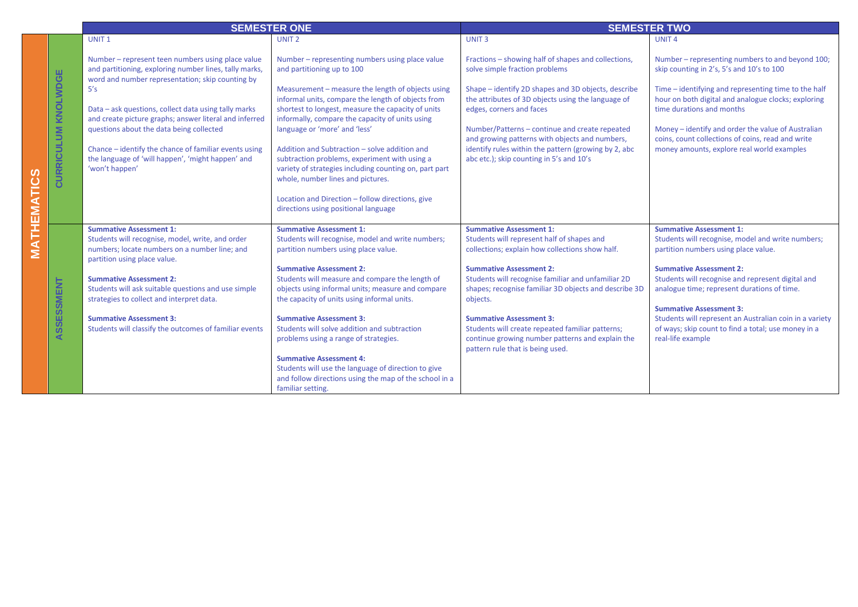|             |                                          | <b>SEMESTER ONE</b>                                                                                                                                                                                                                                                                                                                                                                                                                                                  |                                                                                                                                                                                                                                                                                                                                                                                                                                                                                                                                                                                  | <b>SEMESTER TWO</b>                                                                                                                                                                                                                                                                                                                                                                                                                    |                                                                                                                                                                                                                                                                                                                                                                                                                                            |  |
|-------------|------------------------------------------|----------------------------------------------------------------------------------------------------------------------------------------------------------------------------------------------------------------------------------------------------------------------------------------------------------------------------------------------------------------------------------------------------------------------------------------------------------------------|----------------------------------------------------------------------------------------------------------------------------------------------------------------------------------------------------------------------------------------------------------------------------------------------------------------------------------------------------------------------------------------------------------------------------------------------------------------------------------------------------------------------------------------------------------------------------------|----------------------------------------------------------------------------------------------------------------------------------------------------------------------------------------------------------------------------------------------------------------------------------------------------------------------------------------------------------------------------------------------------------------------------------------|--------------------------------------------------------------------------------------------------------------------------------------------------------------------------------------------------------------------------------------------------------------------------------------------------------------------------------------------------------------------------------------------------------------------------------------------|--|
|             |                                          | UNIT <sub>1</sub>                                                                                                                                                                                                                                                                                                                                                                                                                                                    | UNIT <sub>2</sub>                                                                                                                                                                                                                                                                                                                                                                                                                                                                                                                                                                | UNIT <sub>3</sub>                                                                                                                                                                                                                                                                                                                                                                                                                      | UNIT <sub>4</sub>                                                                                                                                                                                                                                                                                                                                                                                                                          |  |
|             | ш<br><b>KNOLWDG</b><br><b>CURRICULUM</b> | Number - represent teen numbers using place value<br>and partitioning, exploring number lines, tally marks,<br>word and number representation; skip counting by<br>5's<br>Data - ask questions, collect data using tally marks<br>and create picture graphs; answer literal and inferred<br>questions about the data being collected<br>Chance - identify the chance of familiar events using<br>the language of 'will happen', 'might happen' and<br>'won't happen' | Number – representing numbers using place value<br>and partitioning up to 100<br>Measurement - measure the length of objects using<br>informal units, compare the length of objects from<br>shortest to longest, measure the capacity of units<br>informally, compare the capacity of units using<br>language or 'more' and 'less'<br>Addition and Subtraction - solve addition and<br>subtraction problems, experiment with using a<br>variety of strategies including counting on, part part                                                                                   | Fractions - showing half of shapes and collections,<br>solve simple fraction problems<br>Shape - identify 2D shapes and 3D objects, describe<br>the attributes of 3D objects using the language of<br>edges, corners and faces<br>Number/Patterns - continue and create repeated<br>and growing patterns with objects and numbers,<br>identify rules within the pattern (growing by 2, abc<br>abc etc.); skip counting in 5's and 10's | Number – representing numbers to and beyond 100;<br>skip counting in 2's, 5's and 10's to 100<br>Time - identifying and representing time to the half<br>hour on both digital and analogue clocks; exploring<br>time durations and months<br>Money - identify and order the value of Australian<br>coins, count collections of coins, read and write<br>money amounts, explore real world examples                                         |  |
| MATHEMATICS | ASSESSMENT                               | <b>Summative Assessment 1:</b><br>Students will recognise, model, write, and order<br>numbers; locate numbers on a number line; and<br>partition using place value.<br><b>Summative Assessment 2:</b><br>Students will ask suitable questions and use simple<br>strategies to collect and interpret data.<br><b>Summative Assessment 3:</b><br>Students will classify the outcomes of familiar events                                                                | whole, number lines and pictures.<br>Location and Direction - follow directions, give<br>directions using positional language<br><b>Summative Assessment 1:</b><br>Students will recognise, model and write numbers;<br>partition numbers using place value.<br><b>Summative Assessment 2:</b><br>Students will measure and compare the length of<br>objects using informal units; measure and compare<br>the capacity of units using informal units.<br><b>Summative Assessment 3:</b><br>Students will solve addition and subtraction<br>problems using a range of strategies. | <b>Summative Assessment 1:</b><br>Students will represent half of shapes and<br>collections; explain how collections show half.<br><b>Summative Assessment 2:</b><br>Students will recognise familiar and unfamiliar 2D<br>shapes; recognise familiar 3D objects and describe 3D<br>objects.<br><b>Summative Assessment 3:</b><br>Students will create repeated familiar patterns;<br>continue growing number patterns and explain the | <b>Summative Assessment 1:</b><br>Students will recognise, model and write numbers;<br>partition numbers using place value.<br><b>Summative Assessment 2:</b><br>Students will recognise and represent digital and<br>analogue time; represent durations of time.<br><b>Summative Assessment 3:</b><br>Students will represent an Australian coin in a variety<br>of ways; skip count to find a total; use money in a<br>real-life example |  |
|             |                                          |                                                                                                                                                                                                                                                                                                                                                                                                                                                                      | <b>Summative Assessment 4:</b><br>Students will use the language of direction to give<br>and follow directions using the map of the school in a<br>familiar setting.                                                                                                                                                                                                                                                                                                                                                                                                             | pattern rule that is being used.                                                                                                                                                                                                                                                                                                                                                                                                       |                                                                                                                                                                                                                                                                                                                                                                                                                                            |  |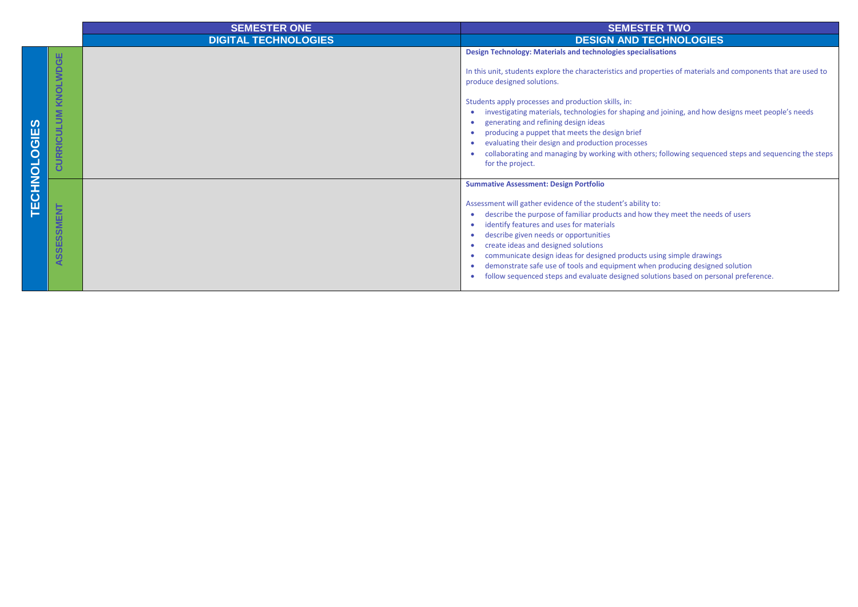|                     |                                          | <b>SEMESTER ONE</b>         | <b>SEMESTER TWO</b>                                                                                                                                                                                                                                                                                                                                                                                                                                                                                                                                                                                                                                    |  |
|---------------------|------------------------------------------|-----------------------------|--------------------------------------------------------------------------------------------------------------------------------------------------------------------------------------------------------------------------------------------------------------------------------------------------------------------------------------------------------------------------------------------------------------------------------------------------------------------------------------------------------------------------------------------------------------------------------------------------------------------------------------------------------|--|
|                     |                                          | <b>DIGITAL TECHNOLOGIES</b> | <b>DESIGN AND TECHNOLOGIES</b>                                                                                                                                                                                                                                                                                                                                                                                                                                                                                                                                                                                                                         |  |
| <b>TECHNOLOGIES</b> | KNOLWDGE<br>$\sum_{i=1}^{n}$<br>CURRICUL |                             | Design Technology: Materials and technologies specialisations<br>In this unit, students explore the characteristics and properties of materials and components that are used to<br>produce designed solutions.<br>Students apply processes and production skills, in:<br>investigating materials, technologies for shaping and joining, and how designs meet people's needs<br>generating and refining design ideas<br>producing a puppet that meets the design brief<br>evaluating their design and production processes<br>collaborating and managing by working with others; following sequenced steps and sequencing the steps<br>for the project. |  |
|                     | <b>SSMI</b><br>ASSES                     |                             | <b>Summative Assessment: Design Portfolio</b><br>Assessment will gather evidence of the student's ability to:<br>describe the purpose of familiar products and how they meet the needs of users<br>identify features and uses for materials<br>describe given needs or opportunities<br>create ideas and designed solutions<br>communicate design ideas for designed products using simple drawings<br>demonstrate safe use of tools and equipment when producing designed solution<br>follow sequenced steps and evaluate designed solutions based on personal preference.                                                                            |  |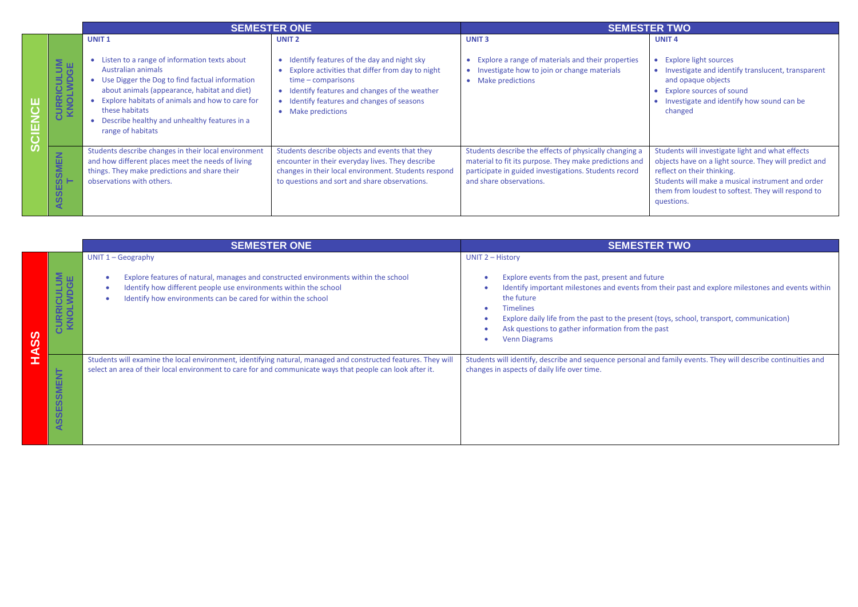|   |                                                  | <b>SEMESTER ONE</b>                                                                                                                                                                                                                                                                                                                              |                                                                                                                                                                                                                                                                                | <b>SEMESTER TWO</b>                                                                                                                                                                                  |                                                                                                                                                                                                                                                                  |
|---|--------------------------------------------------|--------------------------------------------------------------------------------------------------------------------------------------------------------------------------------------------------------------------------------------------------------------------------------------------------------------------------------------------------|--------------------------------------------------------------------------------------------------------------------------------------------------------------------------------------------------------------------------------------------------------------------------------|------------------------------------------------------------------------------------------------------------------------------------------------------------------------------------------------------|------------------------------------------------------------------------------------------------------------------------------------------------------------------------------------------------------------------------------------------------------------------|
| ш | <b>CURRICULUM</b><br>KNOLWDGE                    | UNIT <sub>1</sub><br>Listen to a range of information texts about<br>$\bullet$<br>Australian animals<br>Use Digger the Dog to find factual information<br>about animals (appearance, habitat and diet)<br>Explore habitats of animals and how to care for<br>these habitats<br>Describe healthy and unhealthy features in a<br>range of habitats | UNIT <sub>2</sub><br>Identify features of the day and night sky<br>Explore activities that differ from day to night<br>$\bullet$<br>$time$ – comparisons<br>• Identify features and changes of the weather<br>• Identify features and changes of seasons<br>• Make predictions | <b>UNIT3</b><br>• Explore a range of materials and their properties<br>• Investigate how to join or change materials<br>• Make predictions                                                           | <b>UNIT 4</b><br>• Explore light sources<br>• Investigate and identify translucent, transparent<br>and opaque objects<br>• Explore sources of sound<br>• Investigate and identify how sound can be<br>changed                                                    |
| Ω | <b>ISSMEN</b><br>59<br>ທ<br>$\blacktriangleleft$ | Students describe changes in their local environment<br>and how different places meet the needs of living<br>things. They make predictions and share their<br>observations with others.                                                                                                                                                          | Students describe objects and events that they<br>encounter in their everyday lives. They describe<br>changes in their local environment. Students respond<br>to questions and sort and share observations.                                                                    | Students describe the effects of physically changing a<br>material to fit its purpose. They make predictions and<br>participate in guided investigations. Students record<br>and share observations. | Students will investigate light and what effects<br>objects have on a light source. They will predict and<br>reflect on their thinking.<br>Students will make a musical instrument and order<br>them from loudest to softest. They will respond to<br>questions. |

|              |                               | <b>SEMESTER ONE</b>                                                                                                                                                                                                                             | <b>SEMESTER TWO</b>                                                                                                                                                                                                                                                                                                                                                                         |  |
|--------------|-------------------------------|-------------------------------------------------------------------------------------------------------------------------------------------------------------------------------------------------------------------------------------------------|---------------------------------------------------------------------------------------------------------------------------------------------------------------------------------------------------------------------------------------------------------------------------------------------------------------------------------------------------------------------------------------------|--|
| ທ<br>ဖာ<br>⊈ | <b>CURRICULUM</b><br>KNOLWDGE | UNIT $1 - Geography$<br>Explore features of natural, manages and constructed environments within the school<br>Identify how different people use environments within the school<br>Identify how environments can be cared for within the school | <b>UNIT 2 - History</b><br>Explore events from the past, present and future<br>Identify important milestones and events from their past and explore milestones and events within<br>the future<br><b>Timelines</b><br>Explore daily life from the past to the present (toys, school, transport, communication)<br>Ask questions to gather information from the past<br><b>Venn Diagrams</b> |  |
|              | SSMENT<br><b>SSE</b><br>⋖     | Students will examine the local environment, identifying natural, managed and constructed features. They will<br>select an area of their local environment to care for and communicate ways that people can look after it.                      | Students will identify, describe and sequence personal and family events. They will describe continuities and<br>changes in aspects of daily life over time.                                                                                                                                                                                                                                |  |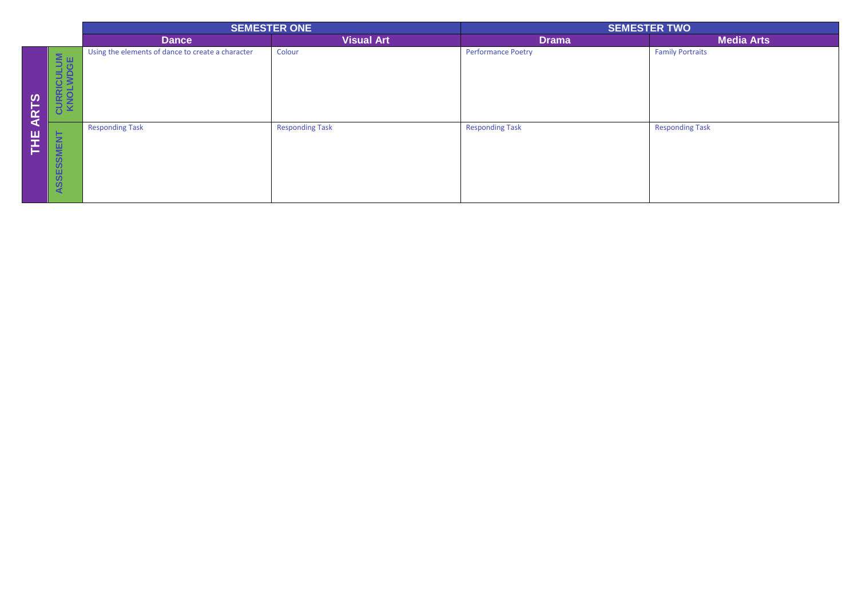|             |                               | <b>SEMESTER ONE</b>                               |                        | <b>SEMESTER TWO</b>       |                         |
|-------------|-------------------------------|---------------------------------------------------|------------------------|---------------------------|-------------------------|
|             |                               | <b>Dance</b>                                      | <b>Visual Art</b>      | <b>Drama</b>              | <b>Media Arts</b>       |
| <b>ARTS</b> | <b>CURRICULUM</b><br>KNOLWDGE | Using the elements of dance to create a character | Colour                 | <b>Performance Poetry</b> | <b>Family Portraits</b> |
| HE          | ASSESSMENT                    | <b>Responding Task</b>                            | <b>Responding Task</b> | <b>Responding Task</b>    | <b>Responding Task</b>  |